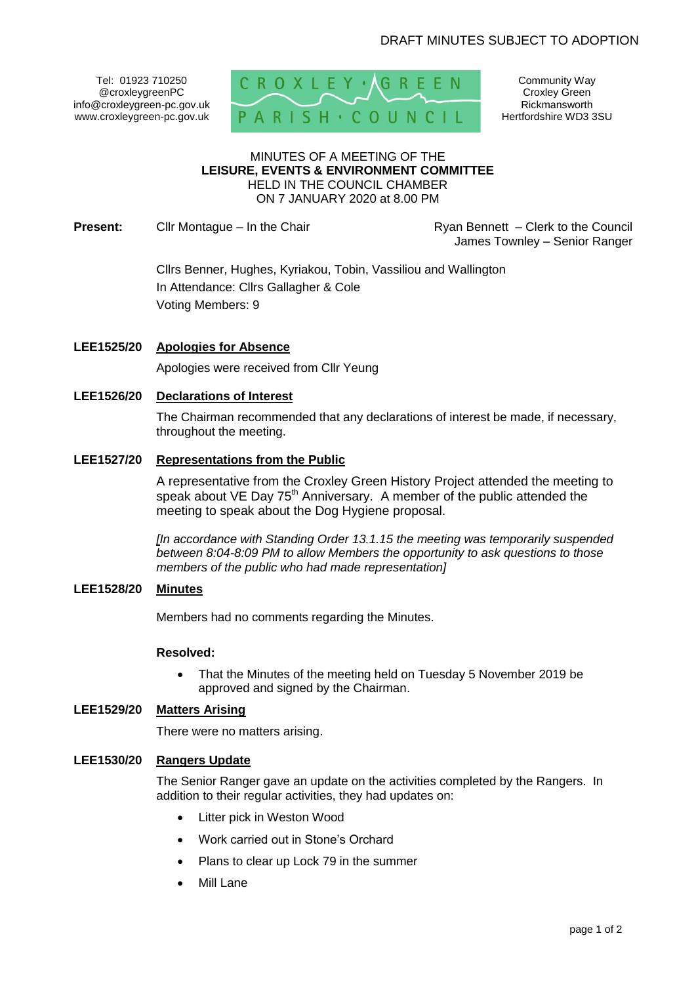Tel: 01923 710250 @croxleygreenPC info@croxleygreen-pc.gov.uk www.croxleygreen-pc.gov.uk



Community Way Croxley Green Rickmansworth Hertfordshire WD3 3SU

#### MINUTES OF A MEETING OF THE **LEISURE, EVENTS & ENVIRONMENT COMMITTEE** HELD IN THE COUNCIL CHAMBER ON 7 JANUARY 2020 at 8.00 PM

**Present:** Clir Montague – In the Chair **Reserve Lines Council** Ryan Bennett – Clerk to the Council

James Townley – Senior Ranger

Cllrs Benner, Hughes, Kyriakou, Tobin, Vassiliou and Wallington In Attendance: Cllrs Gallagher & Cole Voting Members: 9

**LEE1525/20 Apologies for Absence**

Apologies were received from Cllr Yeung

# **LEE1526/20 Declarations of Interest**

The Chairman recommended that any declarations of interest be made, if necessary, throughout the meeting.

### **LEE1527/20 Representations from the Public**

A representative from the Croxley Green History Project attended the meeting to speak about VE Day  $75<sup>th</sup>$  Anniversary. A member of the public attended the meeting to speak about the Dog Hygiene proposal.

*[In accordance with Standing Order 13.1.15 the meeting was temporarily suspended between 8:04-8:09 PM to allow Members the opportunity to ask questions to those members of the public who had made representation]*

#### **LEE1528/20 Minutes**

Members had no comments regarding the Minutes.

#### **Resolved:**

• That the Minutes of the meeting held on Tuesday 5 November 2019 be approved and signed by the Chairman.

### **LEE1529/20 Matters Arising**

There were no matters arising.

### **LEE1530/20 Rangers Update**

The Senior Ranger gave an update on the activities completed by the Rangers. In addition to their regular activities, they had updates on:

- Litter pick in Weston Wood
- Work carried out in Stone's Orchard
- Plans to clear up Lock 79 in the summer
- Mill Lane